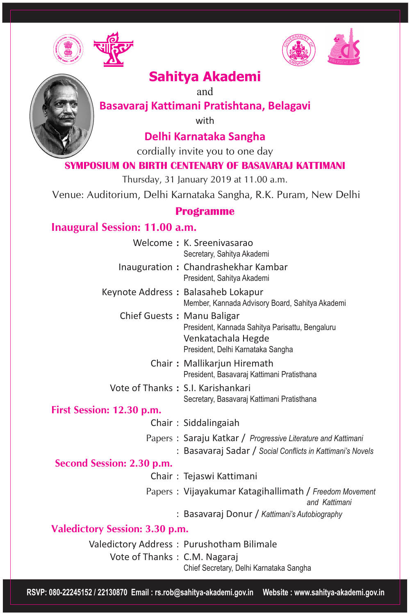



# **Sahitya Akademi**

and

**Basavaraj Kattimani Pratishtana, Belagavi**

with

**Delhi Karnataka Sangha**

cordially invite you to one day

### **SYMPOSIUM ON BIRTH CENTENARY OF BASAVARAJ KATTIMANI**

Thursday, 31 January 2019 at 11.00 a.m.

Venue: Auditorium, Delhi Karnataka Sangha, R.K. Puram, New Delhi

#### **Programme**

# **Inaugural Session: 11.00 a.m.**

|                                       | Welcome: K. Sreenivasarao<br>Secretary, Sahitya Akademi                                                                    |
|---------------------------------------|----------------------------------------------------------------------------------------------------------------------------|
|                                       | Inauguration: Chandrashekhar Kambar<br>President, Sahitya Akademi                                                          |
|                                       | Keynote Address: Balasaheb Lokapur<br>Member, Kannada Advisory Board, Sahitya Akademi                                      |
| Chief Guests: Manu Baligar            | President, Kannada Sahitya Parisattu, Bengaluru<br>Venkatachala Hegde<br>President, Delhi Karnataka Sangha                 |
|                                       | Chair: Mallikarjun Hiremath<br>President, Basavaraj Kattimani Pratisthana                                                  |
|                                       | Vote of Thanks: S.I. Karishankari<br>Secretary, Basavaraj Kattimani Pratisthana                                            |
| First Session: 12.30 p.m.             |                                                                                                                            |
|                                       | Chair: Siddalingaiah                                                                                                       |
|                                       | Papers: Saraju Katkar / Progressive Literature and Kattimani<br>: Basavaraj Sadar / Social Conflicts in Kattimani's Novels |
| Second Session: 2.30 p.m.             |                                                                                                                            |
|                                       | Chair: Tejaswi Kattimani                                                                                                   |
|                                       | Papers: Vijayakumar Katagihallimath / Freedom Movement<br>and Kattimani                                                    |
|                                       | : Basavaraj Donur / Kattimani's Autobiography                                                                              |
| <b>Valedictory Session: 3.30 p.m.</b> |                                                                                                                            |
|                                       | Valedictory Address: Purushotham Bilimale                                                                                  |
| Vote of Thanks: C.M. Nagaraj          | Chief Secretary, Delhi Karnataka Sangha                                                                                    |